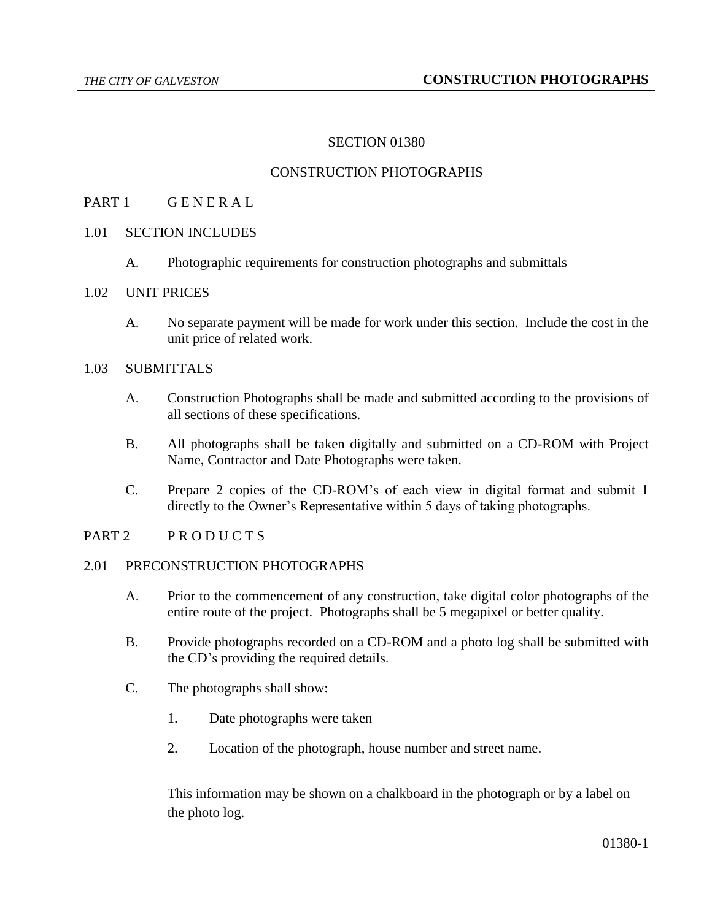## SECTION 01380

## CONSTRUCTION PHOTOGRAPHS

### PART 1 GENERAL

- 1.01 SECTION INCLUDES
	- A. Photographic requirements for construction photographs and submittals

#### 1.02 UNIT PRICES

A. No separate payment will be made for work under this section. Include the cost in the unit price of related work.

#### 1.03 SUBMITTALS

- A. Construction Photographs shall be made and submitted according to the provisions of all sections of these specifications.
- B. All photographs shall be taken digitally and submitted on a CD-ROM with Project Name, Contractor and Date Photographs were taken.
- C. Prepare 2 copies of the CD-ROM's of each view in digital format and submit 1 directly to the Owner's Representative within 5 days of taking photographs.

### PART 2 PRODUCTS

#### 2.01 PRECONSTRUCTION PHOTOGRAPHS

- A. Prior to the commencement of any construction, take digital color photographs of the entire route of the project. Photographs shall be 5 megapixel or better quality.
- B. Provide photographs recorded on a CD-ROM and a photo log shall be submitted with the CD's providing the required details.
- C. The photographs shall show:
	- 1. Date photographs were taken
	- 2. Location of the photograph, house number and street name.

This information may be shown on a chalkboard in the photograph or by a label on the photo log.